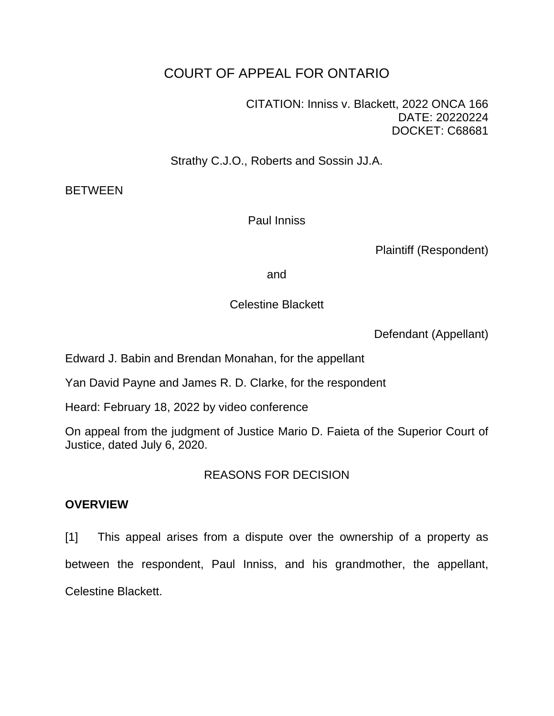# COURT OF APPEAL FOR ONTARIO

CITATION: Inniss v. Blackett, 2022 ONCA 166 DATE: 20220224 DOCKET: C68681

Strathy C.J.O., Roberts and Sossin JJ.A.

**BETWEEN** 

Paul Inniss

Plaintiff (Respondent)

and

# Celestine Blackett

Defendant (Appellant)

Edward J. Babin and Brendan Monahan, for the appellant

Yan David Payne and James R. D. Clarke, for the respondent

Heard: February 18, 2022 by video conference

On appeal from the judgment of Justice Mario D. Faieta of the Superior Court of Justice, dated July 6, 2020.

# REASONS FOR DECISION

# **OVERVIEW**

[1] This appeal arises from a dispute over the ownership of a property as between the respondent, Paul Inniss, and his grandmother, the appellant, Celestine Blackett.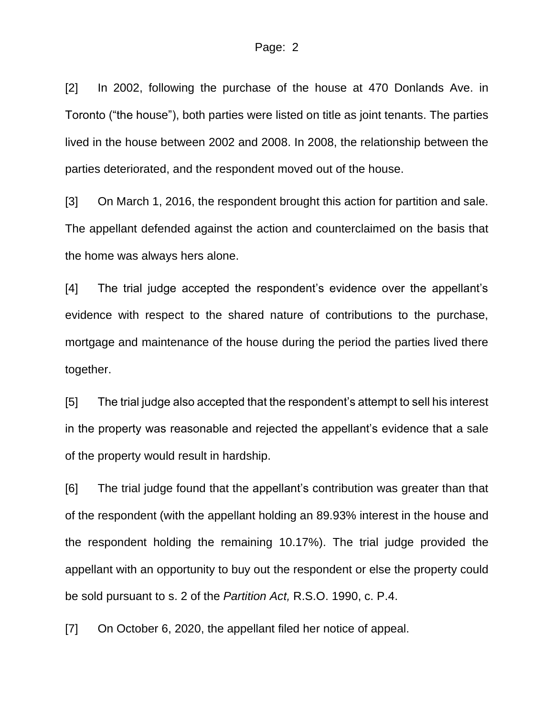[2] In 2002, following the purchase of the house at 470 Donlands Ave. in Toronto ("the house"), both parties were listed on title as joint tenants. The parties lived in the house between 2002 and 2008. In 2008, the relationship between the parties deteriorated, and the respondent moved out of the house.

[3] On March 1, 2016, the respondent brought this action for partition and sale. The appellant defended against the action and counterclaimed on the basis that the home was always hers alone.

[4] The trial judge accepted the respondent's evidence over the appellant's evidence with respect to the shared nature of contributions to the purchase, mortgage and maintenance of the house during the period the parties lived there together.

[5] The trial judge also accepted that the respondent's attempt to sell his interest in the property was reasonable and rejected the appellant's evidence that a sale of the property would result in hardship.

[6] The trial judge found that the appellant's contribution was greater than that of the respondent (with the appellant holding an 89.93% interest in the house and the respondent holding the remaining 10.17%). The trial judge provided the appellant with an opportunity to buy out the respondent or else the property could be sold pursuant to s. 2 of the *Partition Act,* R.S.O. 1990, c. P.4.

[7] On October 6, 2020, the appellant filed her notice of appeal.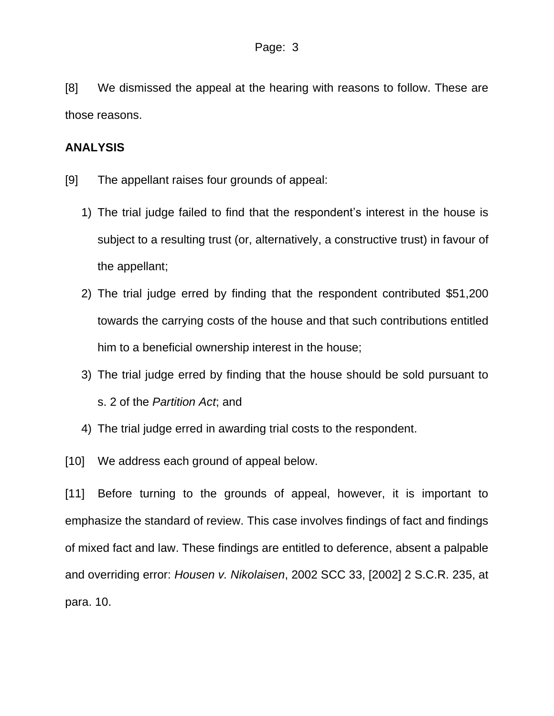[8] We dismissed the appeal at the hearing with reasons to follow. These are those reasons.

### **ANALYSIS**

- [9] The appellant raises four grounds of appeal:
	- 1) The trial judge failed to find that the respondent's interest in the house is subject to a resulting trust (or, alternatively, a constructive trust) in favour of the appellant;
	- 2) The trial judge erred by finding that the respondent contributed \$51,200 towards the carrying costs of the house and that such contributions entitled him to a beneficial ownership interest in the house;
	- 3) The trial judge erred by finding that the house should be sold pursuant to s. 2 of the *Partition Act*; and
	- 4) The trial judge erred in awarding trial costs to the respondent.
- [10] We address each ground of appeal below.

[11] Before turning to the grounds of appeal, however, it is important to emphasize the standard of review. This case involves findings of fact and findings of mixed fact and law. These findings are entitled to deference, absent a palpable and overriding error: *Housen v. Nikolaisen*, 2002 SCC 33, [2002] 2 S.C.R. 235, at para. 10.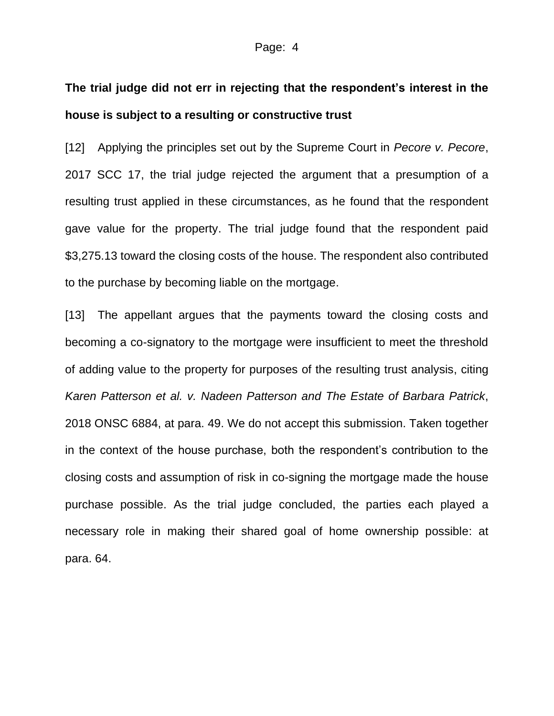# **The trial judge did not err in rejecting that the respondent's interest in the house is subject to a resulting or constructive trust**

[12] Applying the principles set out by the Supreme Court in *Pecore v. Pecore*, 2017 SCC 17, the trial judge rejected the argument that a presumption of a resulting trust applied in these circumstances, as he found that the respondent gave value for the property. The trial judge found that the respondent paid \$3,275.13 toward the closing costs of the house. The respondent also contributed to the purchase by becoming liable on the mortgage.

[13] The appellant argues that the payments toward the closing costs and becoming a co-signatory to the mortgage were insufficient to meet the threshold of adding value to the property for purposes of the resulting trust analysis, citing *Karen Patterson et al. v. Nadeen Patterson and The Estate of Barbara Patrick*, 2018 ONSC 6884, at para. 49. We do not accept this submission. Taken together in the context of the house purchase, both the respondent's contribution to the closing costs and assumption of risk in co-signing the mortgage made the house purchase possible. As the trial judge concluded, the parties each played a necessary role in making their shared goal of home ownership possible: at para. 64.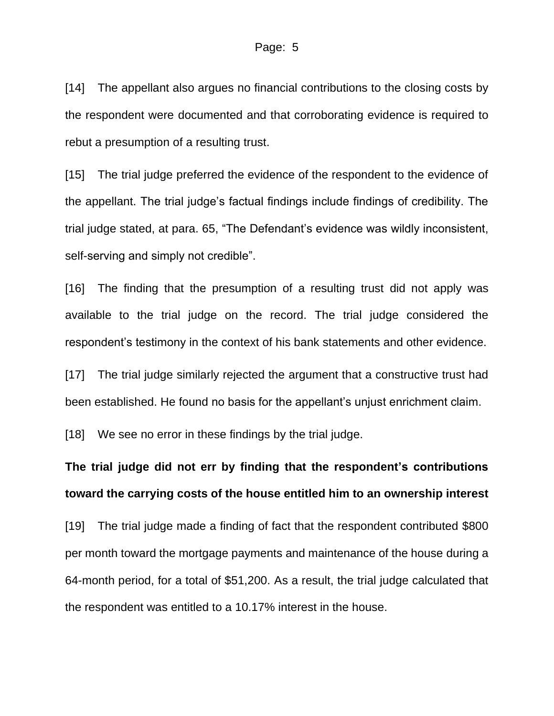#### Page: 5

[14] The appellant also argues no financial contributions to the closing costs by the respondent were documented and that corroborating evidence is required to rebut a presumption of a resulting trust.

[15] The trial judge preferred the evidence of the respondent to the evidence of the appellant. The trial judge's factual findings include findings of credibility. The trial judge stated, at para. 65, "The Defendant's evidence was wildly inconsistent, self-serving and simply not credible".

[16] The finding that the presumption of a resulting trust did not apply was available to the trial judge on the record. The trial judge considered the respondent's testimony in the context of his bank statements and other evidence.

[17] The trial judge similarly rejected the argument that a constructive trust had been established. He found no basis for the appellant's unjust enrichment claim.

[18] We see no error in these findings by the trial judge.

# **The trial judge did not err by finding that the respondent's contributions toward the carrying costs of the house entitled him to an ownership interest**

[19] The trial judge made a finding of fact that the respondent contributed \$800 per month toward the mortgage payments and maintenance of the house during a 64-month period, for a total of \$51,200. As a result, the trial judge calculated that the respondent was entitled to a 10.17% interest in the house.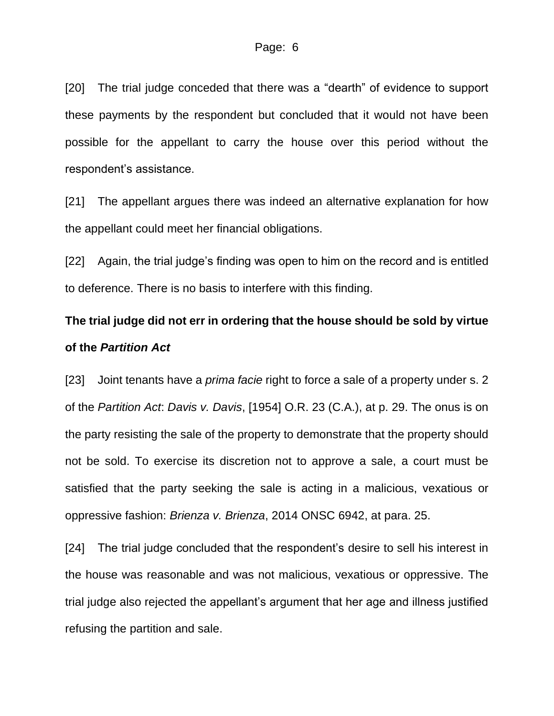[20] The trial judge conceded that there was a "dearth" of evidence to support these payments by the respondent but concluded that it would not have been possible for the appellant to carry the house over this period without the respondent's assistance.

[21] The appellant argues there was indeed an alternative explanation for how the appellant could meet her financial obligations.

[22] Again, the trial judge's finding was open to him on the record and is entitled to deference. There is no basis to interfere with this finding.

# **The trial judge did not err in ordering that the house should be sold by virtue of the** *Partition Act*

[23] Joint tenants have a *prima facie* right to force a sale of a property under s. 2 of the *Partition Act*: *Davis v. Davis*, [1954] O.R. 23 (C.A.), at p. 29. The onus is on the party resisting the sale of the property to demonstrate that the property should not be sold. To exercise its discretion not to approve a sale, a court must be satisfied that the party seeking the sale is acting in a malicious, vexatious or oppressive fashion: *Brienza v. Brienza*, 2014 ONSC 6942, at para. 25.

[24] The trial judge concluded that the respondent's desire to sell his interest in the house was reasonable and was not malicious, vexatious or oppressive. The trial judge also rejected the appellant's argument that her age and illness justified refusing the partition and sale.